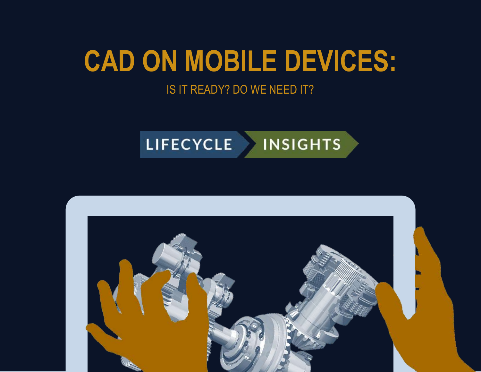# **CAD ON MOBILE DEVICES:**

### IS IT READY? DO WE NEED IT?



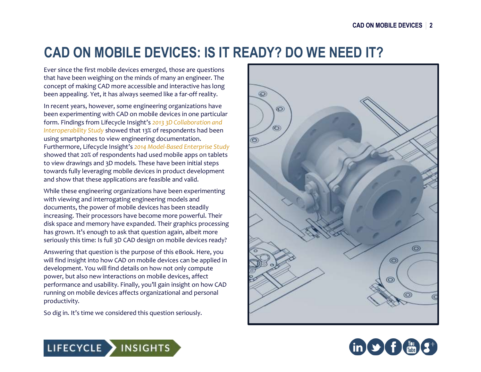### **CAD ON MOBILE DEVICES: IS IT READY? DO WE NEED IT?**

Ever since the first mobile devices emerged, those are questions that have been weighing on the minds of many an engineer. The concept of making CAD more accessible and interactive has long been appealing. Yet, it has always seemed like a far-off reality.

In recent years, however, some engineering organizations have been experimenting with CAD on mobile devices in one particular form. Findings from Lifecycle Insight's *2013 3D Collaboration and Interoperability Study* showed that 13% of respondents had been using smartphones to view engineering documentation. Furthermore, Lifecycle Insight's *2014 Model-Based Enterprise Study* showed that 20% of respondents had used mobile apps on tablets to view drawings and 3D models. These have been initial steps towards fully leveraging mobile devices in product development and show that these applications are feasible and valid.

While these engineering organizations have been experimenting with viewing and interrogating engineering models and documents, the power of mobile devices has been steadily increasing. Their processors have become more powerful. Their disk space and memory have expanded. Their graphics processing has grown. It's enough to ask that question again, albeit more seriously this time: Is full 3D CAD design on mobile devices ready?

Answering that question is the purpose of this eBook. Here, you will find insight into how CAD on mobile devices can be applied in development. You will find details on how not only compute power, but also new interactions on mobile devices, affect performance and usability. Finally, you'll gain insight on how CAD running on mobile devices affects organizational and personal productivity.

So dig in. It's time we considered this question seriously.





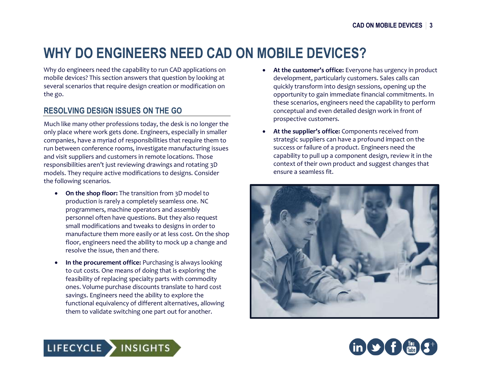## **WHY DO ENGINEERS NEED CAD ON MOBILE DEVICES?**

Why do engineers need the capability to run CAD applications on mobile devices? This section answers that question by looking at several scenarios that require design creation or modification on the go.

#### **RESOLVING DESIGN ISSUES ON THE GO**

Much like many other professions today, the desk is no longer the only place where work gets done. Engineers, especially in smaller companies, have a myriad of responsibilities that require them to run between conference rooms, investigate manufacturing issues and visit suppliers and customers in remote locations. Those responsibilities aren't just reviewing drawings and rotating 3D models. They require active modifications to designs. Consider the following scenarios.

- **On the shop floor:** The transition from 3D model to production is rarely a completely seamless one. NC programmers, machine operators and assembly personnel often have questions. But they also request small modifications and tweaks to designs in order to manufacture them more easily or at less cost. On the shop floor, engineers need the ability to mock up a change and resolve the issue, then and there.
- **In the procurement office:** Purchasing is always looking to cut costs. One means of doing that is exploring the feasibility of replacing specialty parts with commodity ones. Volume purchase discounts translate to hard cost savings. Engineers need the ability to explore the functional equivalency of different alternatives, allowing them to validate switching one part out for another.
- **At the customer's office:** Everyone has urgency in product development, particularly customers. Sales calls can quickly transform into design sessions, opening up the opportunity to gain immediate financial commitments. In these scenarios, engineers need the capability to perform conceptual and even detailed design work in front of prospective customers.
- **At the supplier's office:** Components received from strategic suppliers can have a profound impact on the success or failure of a product. Engineers need the capability to pull up a component design, review it in the context of their own product and suggest changes that ensure a seamless fit.





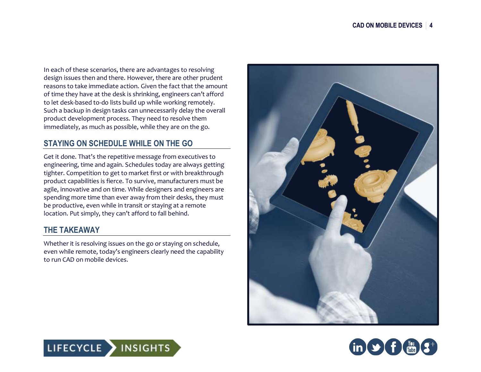In each of these scenarios, there are advantages to resolving design issues then and there. However, there are other prudent reasons to take immediate action. Given the fact that the amount of time they have at the desk is shrinking, engineers can't afford to let desk-based to-do lists build up while working remotely. Such a backup in design tasks can unnecessarily delay the overall product development process. They need to resolve them immediately, as much as possible, while they are on the go.

### **STAYING ON SCHEDULE WHILE ON THE GO**

Get it done. That's the repetitive message from executives to engineering, time and again. Schedules today are always getting tighter. Competition to get to market first or with breakthrough product capabilities is fierce. To survive, manufacturers must be agile, innovative and on time. While designers and engineers are spending more time than ever away from their desks, they must be productive, even while in transit or staying at a remote location. Put simply, they can't afford to fall behind.

### **THE TAKEAWAY**

Whether it is resolving issues on the go or staying on schedule, even while remote, today's engineers clearly need the capability to run CAD on mobile devices.





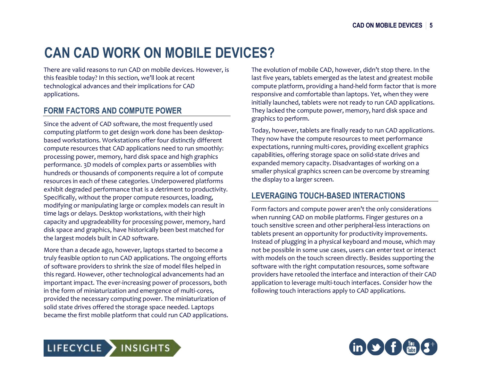## **CAN CAD WORK ON MOBILE DEVICES?**

There are valid reasons to run CAD on mobile devices. However, is this feasible today? In this section, we'll look at recent technological advances and their implications for CAD applications.

#### **FORM FACTORS AND COMPUTE POWER**

Since the advent of CAD software, the most frequently used computing platform to get design work done has been desktopbased workstations. Workstations offer four distinctly different compute resources that CAD applications need to run smoothly: processing power, memory, hard disk space and high graphics performance. 3D models of complex parts or assemblies with hundreds or thousands of components require a lot of compute resources in each of these categories. Underpowered platforms exhibit degraded performance that is a detriment to productivity. Specifically, without the proper compute resources, loading, modifying or manipulating large or complex models can result in time lags or delays. Desktop workstations, with their high capacity and upgradeability for processing power, memory, hard disk space and graphics, have historically been best matched for the largest models built in CAD software.

More than a decade ago, however, laptops started to become a truly feasible option to run CAD applications. The ongoing efforts of software providers to shrink the size of model files helped in this regard. However, other technological advancements had an important impact. The ever-increasing power of processors, both in the form of miniaturization and emergence of multi-cores, provided the necessary computing power. The miniaturization of solid state drives offered the storage space needed. Laptops became the first mobile platform that could run CAD applications. The evolution of mobile CAD, however, didn't stop there. In the last five years, tablets emerged as the latest and greatest mobile compute platform, providing a hand-held form factor that is more responsive and comfortable than laptops. Yet, when they were initially launched, tablets were not ready to run CAD applications. They lacked the compute power, memory, hard disk space and graphics to perform.

Today, however, tablets are finally ready to run CAD applications. They now have the compute resources to meet performance expectations, running multi-cores, providing excellent graphics capabilities, offering storage space on solid-state drives and expanded memory capacity. Disadvantages of working on a smaller physical graphics screen can be overcome by streaming the display to a larger screen.

### **LEVERAGING TOUCH-BASED INTERACTIONS**

Form factors and compute power aren't the only considerations when running CAD on mobile platforms. Finger gestures on a touch sensitive screen and other peripheral-less interactions on tablets present an opportunity for productivity improvements. Instead of plugging in a physical keyboard and mouse, which may not be possible in some use cases, users can enter text or interact with models on the touch screen directly. Besides supporting the software with the right computation resources, some software providers have retooled the interface and interaction of their CAD application to leverage multi-touch interfaces. Consider how the following touch interactions apply to CAD applications.



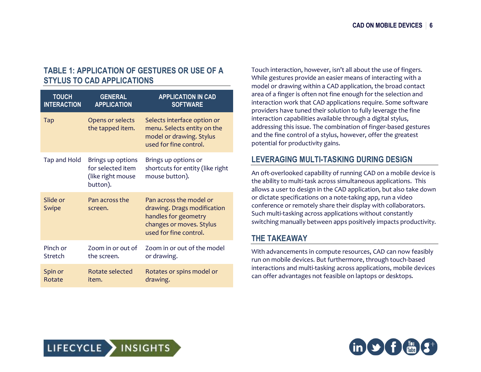#### **TABLE 1: APPLICATION OF GESTURES OR USE OF A STYLUS TO CAD APPLICATIONS**

| <b>TOUCH</b>       | <b>GENERAL</b>                                                          | <b>APPLICATION IN CAD</b>                                                                                                            |
|--------------------|-------------------------------------------------------------------------|--------------------------------------------------------------------------------------------------------------------------------------|
| <b>INTERACTION</b> | <b>APPLICATION</b>                                                      | <b>SOFTWARE</b>                                                                                                                      |
| <b>Tap</b>         | Opens or selects<br>the tapped item.                                    | Selects interface option or<br>menu. Selects entity on the<br>model or drawing. Stylus<br>used for fine control.                     |
| Tap and Hold       | Brings up options<br>for selected item<br>(like right mouse<br>button). | Brings up options or<br>shortcuts for entity (like right<br>mouse button).                                                           |
| Slide or<br>Swipe  | Pan across the<br>screen.                                               | Pan across the model or<br>drawing. Drags modification<br>handles for geometry<br>changes or moves. Stylus<br>used for fine control. |
| Pinch or           | Zoom in or out of                                                       | Zoom in or out of the model                                                                                                          |
| Stretch            | the screen.                                                             | or drawing.                                                                                                                          |
| Spin or            | Rotate selected                                                         | Rotates or spins model or                                                                                                            |
| Rotate             | item.                                                                   | drawing.                                                                                                                             |

Touch interaction, however, isn't all about the use of fingers. While gestures provide an easier means of interacting with a model or drawing within a CAD application, the broad contact area of a finger is often not fine enough for the selection and interaction work that CAD applications require. Some software providers have tuned their solution to fully leverage the fine interaction capabilities available through a digital stylus, addressing this issue. The combination of finger-based gestures and the fine control of a stylus, however, offer the greatest potential for productivity gains.

#### **LEVERAGING MULTI-TASKING DURING DESIGN**

An oft-overlooked capability of running CAD on a mobile device is the ability to multi-task across simultaneous applications. This allows a user to design in the CAD application, but also take down or dictate specifications on a note-taking app, run a video conference or remotely share their display with collaborators. Such multi-tasking across applications without constantly switching manually between apps positively impacts productivity.

#### **THE TAKEAWAY**

With advancements in compute resources, CAD can now feasibly run on mobile devices. But furthermore, through touch-based interactions and multi-tasking across applications, mobile devices can offer advantages not feasible on laptops or desktops.



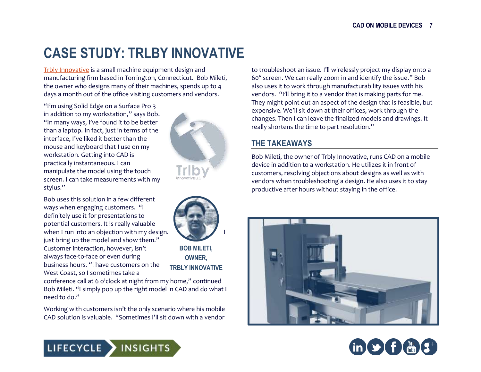### **CASE STUDY: TRLBY INNOVATIVE**

[Trbly Innovative](http://trlby.com/index.html) is a small machine equipment design and manufacturing firm based in Torrington, Connecticut. Bob Mileti, the owner who designs many of their machines, spends up to 4 days a month out of the office visiting customers and vendors.

"I'm using Solid Edge on a Surface Pro 3 in addition to my workstation," says Bob. "In many ways, I've found it to be better than a laptop. In fact, just in terms of the interface, I've liked it better than the mouse and keyboard that I use on my workstation. Getting into CAD is practically instantaneous. I can manipulate the model using the touch screen. I can take measurements with my stylus."

Bob uses this solution in a few different ways when engaging customers. "I definitely use it for presentations to potential customers. It is really valuable when I run into an objection with my design. just bring up the model and show them." Customer interaction, however, isn't always face-to-face or even during business hours. "I have customers on the West Coast, so I sometimes take a





**BOB MILETI, OWNER, TRBLY INNOVATIVE**

conference call at 6 o'clock at night from my home," continued Bob Mileti. "I simply pop up the right model in CAD and do what I need to do."

Working with customers isn't the only scenario where his mobile CAD solution is valuable. "Sometimes I'll sit down with a vendor

to troubleshoot an issue. I'll wirelessly project my display onto a 60ʺ screen. We can really zoom in and identify the issue." Bob also uses it to work through manufacturability issues with his vendors. "I'll bring it to a vendor that is making parts for me. They might point out an aspect of the design that is feasible, but expensive. We'll sit down at their offices, work through the changes. Then I can leave the finalized models and drawings. It really shortens the time to part resolution."

### **THE TAKEAWAYS**

Bob Mileti, the owner of Trbly Innovative, runs CAD on a mobile device in addition to a workstation. He utilizes it in front of customers, resolving objections about designs as well as with vendors when troubleshooting a design. He also uses it to stay productive after hours without staying in the office.





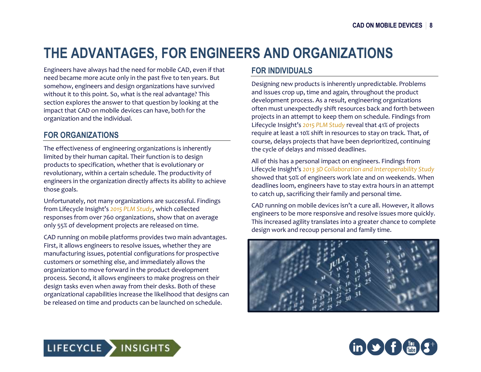## **THE ADVANTAGES, FOR ENGINEERS AND ORGANIZATIONS**

Engineers have always had the need for mobile CAD, even if that need became more acute only in the past five to ten years. But somehow, engineers and design organizations have survived without it to this point. So, what is the real advantage? This section explores the answer to that question by looking at the impact that CAD on mobile devices can have, both for the organization and the individual.

### **FOR ORGANIZATIONS**

The effectiveness of engineering organizations is inherently limited by their human capital. Their function is to design products to specification, whether that is evolutionary or revolutionary, within a certain schedule. The productivity of engineers in the organization directly affects its ability to achieve those goals.

Unfortunately, not many organizations are successful. Findings from Lifecycle Insight's *2015 PLM Study*, which collected responses from over 760 organizations, show that on average only 55% of development projects are released on time.

CAD running on mobile platforms provides two main advantages. First, it allows engineers to resolve issues, whether they are manufacturing issues, potential configurations for prospective customers or something else, and immediately allows the organization to move forward in the product development process. Second, it allows engineers to make progress on their design tasks even when away from their desks. Both of these organizational capabilities increase the likelihood that designs can be released on time and products can be launched on schedule.

### **FOR INDIVIDUALS**

Designing new products is inherently unpredictable. Problems and issues crop up, time and again, throughout the product development process. As a result, engineering organizations often must unexpectedly shift resources back and forth between projects in an attempt to keep them on schedule. Findings from Lifecycle Insight's *2015 PLM Study* reveal that 41% of projects require at least a 10% shift in resources to stay on track. That, of course, delays projects that have been deprioritized, continuing the cycle of delays and missed deadlines.

All of this has a personal impact on engineers. Findings from Lifecycle Insight's *2013 3D Collaboration and Interoperability Study* showed that 50% of engineers work late and on weekends. When deadlines loom, engineers have to stay extra hours in an attempt to catch up, sacrificing their family and personal time.

CAD running on mobile devices isn't a cure all. However, it allows engineers to be more responsive and resolve issues more quickly. This increased agility translates into a greater chance to complete design work and recoup personal and family time.





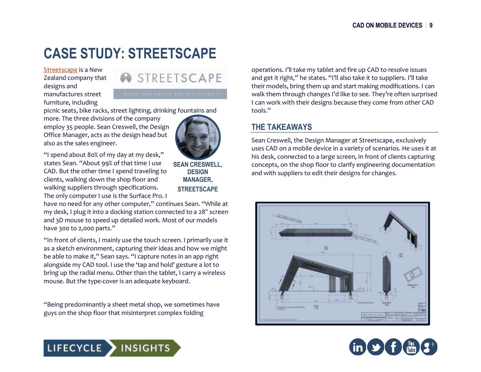## **CASE STUDY: STREETSCAPE**

[Streetscape](http://www.streetscape.co.nz/) is a New Zealand company that designs and manufactures street furniture, including



picnic seats, bike racks, street lighting, drinking fountains and

more. The three divisions of the company employ 35 people. Sean Creswell, the Design Office Manager, acts as the design head but also as the sales engineer.

"I spend about 80% of my day at my desk," states Sean. "About 99% of that time I use CAD. But the other time I spend traveling to clients, walking down the shop floor and walking suppliers through specifications. The only computer I use is the Surface Pro. I

**SEAN CRESWELL, DESIGN MANAGER, STREETSCAPE**

have no need for any other computer," continues Sean. "While at my desk, I plug it into a docking station connected to a 28" screen and 3D mouse to speed up detailed work. Most of our models have 300 to 2,000 parts."

"In front of clients, I mainly use the touch screen. I primarily use it as a sketch environment, capturing their ideas and how we might be able to make it," Sean says. "I capture notes in an app right alongside my CAD tool. I use the 'tap and hold' gesture a lot to bring up the radial menu. Other than the tablet, I carry a wireless mouse. But the type-cover is an adequate keyboard.

"Being predominantly a sheet metal shop, we sometimes have guys on the shop floor that misinterpret complex folding

operations. I'll take my tablet and fire up CAD to resolve issues and get it right," he states. "I'll also take it to suppliers. I'll take their models, bring them up and start making modifications. I can walk them through changes I'd like to see. They're often surprised I can work with their designs because they come from other CAD tools."

### **THE TAKEAWAYS**

Sean Creswell, the Design Manager at Streetscape, exclusively uses CAD on a mobile device in a variety of scenarios. He uses it at his desk, connected to a large screen, in front of clients capturing concepts, on the shop floor to clarify engineering documentation and with suppliers to edit their designs for changes.